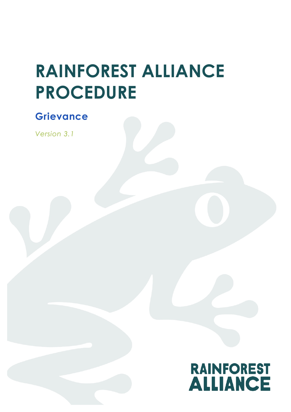# **RAINFOREST ALLIANCE PROCEDURE**

## **Grievance**

*Version 3.1*

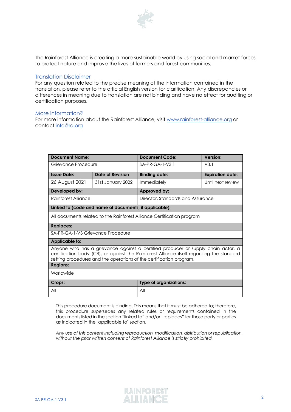

The Rainforest Alliance is creating a more sustainable world by using social and market forces to protect nature and improve the lives of farmers and forest communities.

#### Translation Disclaimer

For any question related to the precise meaning of the information contained in the translation, please refer to the official English version for clarification. Any discrepancies or differences in meaning due to translation are not binding and have no effect for auditing or certification purposes.

#### More information?

For more information about the Rainforest Alliance, visit [www.rainforest-alliance.org](http://www.rainforest-alliance.org/) or contact [info@ra.org](mailto:info@ra.org)

| <b>Document Name:</b>                                                                                                                                                                                                                                |                   | Document Code:                    | Version:                |  |
|------------------------------------------------------------------------------------------------------------------------------------------------------------------------------------------------------------------------------------------------------|-------------------|-----------------------------------|-------------------------|--|
| Grievance Procedure                                                                                                                                                                                                                                  |                   | $SA-PR-GA-1-V3.1$                 | V3.1                    |  |
| <b>Issue Date:</b>                                                                                                                                                                                                                                   | Date of Revision  | <b>Binding date:</b>              | <b>Expiration date:</b> |  |
| 26 August 2021                                                                                                                                                                                                                                       | 31st January 2022 | Immediately                       | Until next review       |  |
| Developed by:                                                                                                                                                                                                                                        |                   | Approved by:                      |                         |  |
| Rainforest Alliance                                                                                                                                                                                                                                  |                   | Director, Standards and Assurance |                         |  |
| Linked to (code and name of documents, if applicable):                                                                                                                                                                                               |                   |                                   |                         |  |
| All documents related to the Rainforest Alliance Certification program                                                                                                                                                                               |                   |                                   |                         |  |
| <b>Replaces:</b>                                                                                                                                                                                                                                     |                   |                                   |                         |  |
| SA-PR-GA-1-V3 Grievance Procedure                                                                                                                                                                                                                    |                   |                                   |                         |  |
| Applicable to:                                                                                                                                                                                                                                       |                   |                                   |                         |  |
| Anyone who has a grievance against a certified producer or supply chain actor, a<br>certification body (CB), or against the Rainforest Alliance itself regarding the standard<br>setting procedures and the operations of the certification program. |                   |                                   |                         |  |
| <b>Regions:</b>                                                                                                                                                                                                                                      |                   |                                   |                         |  |
| Worldwide                                                                                                                                                                                                                                            |                   |                                   |                         |  |
| Crops:                                                                                                                                                                                                                                               |                   | <b>Type of organizations:</b>     |                         |  |
| All                                                                                                                                                                                                                                                  |                   | All                               |                         |  |

This procedure document is binding. This means that it must be adhered to; therefore, this procedure supersedes any related rules or requirements contained in the documents listed in the section "linked to" and/or "replaces" for those party or parties as indicated in the "applicable to" section.

*Any use of this content including reproduction, modification, distribution or republication, without the prior written consent of Rainforest Alliance is strictly prohibited.*

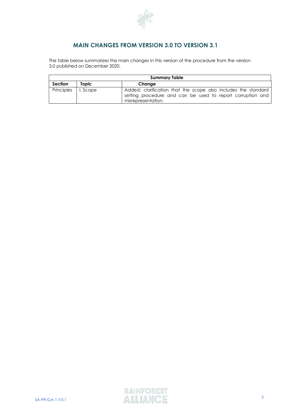

## **MAIN CHANGES FROM VERSION 3.0 TO VERSION 3.1**

The table below summarizes the main changes in this version of the procedure from the version 3.0 published on December 2020.

| <b>Summary Table</b>  |       |                                                                                                                                                    |  |  |
|-----------------------|-------|----------------------------------------------------------------------------------------------------------------------------------------------------|--|--|
| <b>Section</b>        | Topic | Change                                                                                                                                             |  |  |
| Principles   I. Scope |       | Added: clarification that the scope also includes the standard<br>setting procedure and can be used to report corruption and<br>misrepresentation. |  |  |

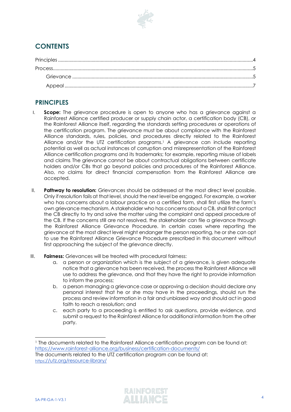

## **CONTENTS**

## <span id="page-3-0"></span>**PRINCIPLES**

- I. **Scope:** The grievance procedure is open to anyone who has a grievance against a Rainforest Alliance certified producer or supply chain actor, a certification body (CB), or the Rainforest Alliance itself, regarding the standards setting procedures or operations of the certification program. The grievance must be about compliance with the Rainforest Alliance standards, rules, policies, and procedures directly related to the Rainforest Alliance and/or the UTZ certification programs. <sup>1</sup> A grievance can include reporting potential as well as actual instances of corruption and misrepresentation of the Rainforest Alliance certification programs and its trademarks; for example, reporting misuse of labels and claims. The grievance cannot be about contractual obligations between certificate holders and/or CBs that go beyond policies and procedures of the Rainforest Alliance. Also, no claims for direct financial compensation from the Rainforest Alliance are accepted.
- II. **Pathway to resolution:** Grievances should be addressed at the most direct level possible. Only if resolution fails at that level, should the next level be engaged. For example, a worker who has concerns about a labour practice on a certified farm, shall first utilize the farm's own grievance mechanism. A stakeholder who has concerns about a CB, shall first contact the CB directly to try and solve the matter using the complaint and appeal procedure of the CB. If the concerns still are not resolved, the stakeholder can file a grievance through the Rainforest Alliance Grievance Procedure. In certain cases where reporting the grievance at the most direct level might endanger the person reporting, he or she can opt to use the Rainforest Alliance Grievance Procedure prescribed in this document without first approaching the subject of the grievance directly.
- III. **Fairness:** Grievances will be treated with procedural fairness:
	- a. a person or organization which is the subject of a grievance, is given adequate notice that a grievance has been received, the process the Rainforest Alliance will use to address the grievance, and that they have the right to provide information to inform the process;
	- b. a person managing a grievance case or approving a decision should declare any personal interest that he or she may have in the proceedings, should run the process and review information in a fair and unbiased way and should act in good faith to reach a resolution; and
	- c. each party to a proceeding is entitled to ask questions, provide evidence, and submit a request to the Rainforest Alliance for additional information from the other party.



<sup>1</sup> The documents related to the Rainforest Alliance certification program can be found at: https://www.rainforest-alliance.org/business/certification-documents/

The documents related to the UTZ certification program can be found at: https[://utz.org/resource-library/](https://utz.org/resource-library/)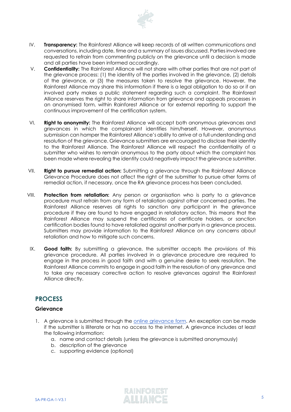

- IV. **Transparency:** The Rainforest Alliance will keep records of all written communications and conversations, including date, time and a summary of issues discussed. Parties involved are requested to refrain from commenting publicly on the grievance until a decision is made and all parties have been informed accordingly.
- V. **Confidentiality:** The Rainforest Alliance will not share with other parties that are not part of the grievance process: (1) the identity of the parties involved in the grievance, (2) details of the grievance, or (3) the measures taken to resolve the grievance. However, the Rainforest Alliance may share this information if there is a legal obligation to do so or if an involved party makes a public statement regarding such a complaint. The Rainforest Alliance reserves the right to share information from grievance and appeals processes in an anonymised form, within Rainforest Alliance or for external reporting to support the continuous improvement of the certification system.
- VI. **Right to anonymity:** The Rainforest Alliance will accept both anonymous grievances and grievances in which the complainant identifies him/herself. However, anonymous submission can hamper the Rainforest Alliance's ability to arrive at a full understanding and resolution of the grievance. Grievance submitters are encouraged to disclose their identity to the Rainforest Alliance. The Rainforest Alliance will respect the confidentiality of a submitter who wishes to remain anonymous to the party about which the complaint has been made where revealing the identity could negatively impact the grievance submitter.
- VII. **Right to pursue remedial action:** Submitting a grievance through the Rainforest Alliance Grievance Procedure does not affect the right of the submitter to pursue other forms of remedial action, if necessary, once the RA grievance process has been concluded.
- VIII. **Protection from retaliation:** Any person or organisation who is party to a grievance procedure must refrain from any form of retaliation against other concerned parties. The Rainforest Alliance reserves all rights to sanction any participant in the grievance procedure if they are found to have engaged in retaliatory action. This means that the Rainforest Alliance may suspend the certificates of certificate holders, or sanction certification bodies found to have retaliated against another party in a grievance process. Submitters may provide information to the Rainforest Alliance on any concerns about retaliation and how to mitigate such concerns.
- IX. **Good faith:** By submitting a grievance, the submitter accepts the provisions of this grievance procedure. All parties involved in a grievance procedure are required to engage in the process in good faith and with a genuine desire to seek resolution. The Rainforest Alliance commits to engage in good faith in the resolution of any grievance and to take any necessary corrective action to resolve grievances against the Rainforest Alliance directly.

## <span id="page-4-0"></span>**PROCESS**

#### <span id="page-4-1"></span>**Grievance**

- 1. A grievance is submitted through the [online grievance form.](https://www.rainforest-alliance.org/business/sustainable-farming/farm-certification/questions-and-complaints/) An exception can be made if the submitter is illiterate or has no access to the internet. A grievance includes at least the following information:
	- a. name and contact details (unless the grievance is submitted anonymously)
	- b. description of the grievance
	- c. supporting evidence (optional)

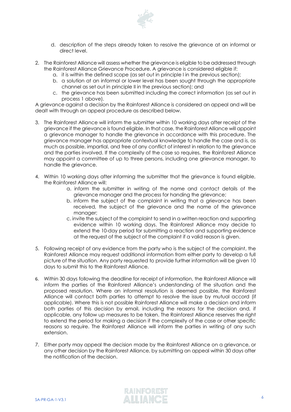

- d. description of the steps already taken to resolve the grievance at an informal or direct level.
- 2. The Rainforest Alliance will assess whether the grievance is eligible to be addressed through the Rainforest Alliance Grievance Procedure. A grievance is considered eligible if:
	- a. it is within the defined scope (as set out in principle I in the previous section);
	- b. a solution at an informal or lower level has been sought through the appropriate channel as set out in principle II in the previous section); and
	- c. the grievance has been submitted including the correct information (as set out in process 1 above).

A grievance against a decision by the Rainforest Alliance is considered an appeal and will be dealt with through an appeal procedure as described below.

- 3. The Rainforest Alliance will inform the submitter within 10 working days after receipt of the grievance if the grievance is found eligible. In that case, the Rainforest Alliance will appoint a grievance manager to handle the grievance in accordance with this procedure. The grievance manager has appropriate contextual knowledge to handle the case and is, as much as possible, impartial, and free of any conflict of interest in relation to the grievance and the parties involved. If the complexity of the case so requires, the Rainforest Alliance may appoint a committee of up to three persons, including one grievance manager, to handle the grievance.
- 4. Within 10 working days after informing the submitter that the grievance is found eligible, the Rainforest Alliance will:
	- a. inform the submitter in writing of the name and contact details of the grievance manager and the process for handing the grievance;
	- b. inform the subject of the complaint in writing that a grievance has been received, the subject of the grievance and the name of the grievance manager;
	- c. invite the subject of the complaint to send in a written reaction and supporting evidence within 10 working days. The Rainforest Alliance may decide to extend the 10-day period for submitting a reaction and supporting evidence at the request of the subject of the complaint if a valid reason is given.
- 5. Following receipt of any evidence from the party who is the subject of the complaint, the Rainforest Alliance may request additional information from either party to develop a full picture of the situation. Any party requested to provide further information will be given 10 days to submit this to the Rainforest Alliance.
- 6. Within 30 days following the deadline for receipt of information, the Rainforest Alliance will inform the parties of the Rainforest Alliance's understanding of the situation and the proposed resolution. Where an informal resolution is deemed possible, the Rainforest Alliance will contact both parties to attempt to resolve the issue by mutual accord (if applicable). Where this is not possible Rainforest Alliance will make a decision and inform both parties of this decision by email, including the reasons for the decision and, if applicable, any follow up measures to be taken. The Rainforest Alliance reserves the right to extend the period for making a decision if the complexity of the case or other specific reasons so require. The Rainforest Alliance will inform the parties in writing of any such extension.
- 7. Either party may appeal the decision made by the Rainforest Alliance on a grievance, or any other decision by the Rainforest Alliance, by submitting an appeal within 30 days after the notification of the decision.

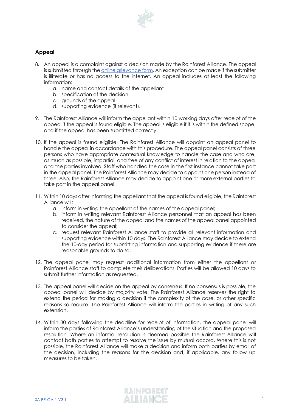

### <span id="page-6-0"></span>**Appeal**

- 8. An appeal is a complaint against a decision made by the Rainforest Alliance. The appeal is submitted through the online [grievance form.](https://www.rainforest-alliance.org/business/sustainable-farming/farm-certification/questions-and-complaints/) An exception can be made if the submitter is illiterate or has no access to the internet. An appeal includes at least the following information:
	- a. name and contact details of the appellant
	- b. specification of the decision
	- c. grounds of the appeal
	- d. supporting evidence (if relevant).
- 9. The Rainforest Alliance will inform the appellant within 10 working days after receipt of the appeal if the appeal is found eligible. The appeal is eligible if it is within the defined scope, and if the appeal has been submitted correctly.
- 10. If the appeal is found eligible, The Rainforest Alliance will appoint an appeal panel to handle the appeal in accordance with this procedure. The appeal panel consists of three persons who have appropriate contextual knowledge to handle the case and who are, as much as possible, impartial, and free of any conflict of interest in relation to the appeal and the parties involved. Staff who handled the case in the first instance cannot take part in the appeal panel. The Rainforest Alliance may decide to appoint one person instead of three. Also, the Rainforest Alliance may decide to appoint one or more external parties to take part in the appeal panel.
- 11. Within 10 days after informing the appellant that the appeal is found eligible, the Rainforest Alliance will:
	- a. inform in writing the appellant of the names of the appeal panel;
	- b. inform in writing relevant Rainforest Alliance personnel that an appeal has been received, the nature of the appeal and the names of the appeal panel appointed to consider the appeal;
	- c. request relevant Rainforest Alliance staff to provide all relevant information and supporting evidence within 10 days. The Rainforest Alliance may decide to extend the 10-day period for submitting information and supporting evidence if there are reasonable grounds to do so.
- 12. The appeal panel may request additional information from either the appellant or Rainforest Alliance staff to complete their deliberations. Parties will be allowed 10 days to submit further information as requested.
- 13. The appeal panel will decide on the appeal by consensus. If no consensus is possible, the appeal panel will decide by majority vote. The Rainforest Alliance reserves the right to extend the period for making a decision if the complexity of the case, or other specific reasons so require. The Rainforest Alliance will inform the parties in writing of any such extension.
- 14. Within 30 days following the deadline for receipt of information, the appeal panel will inform the parties of Rainforest Alliance's understanding of the situation and the proposed resolution. Where an informal resolution is deemed possible the Rainforest Alliance will contact both parties to attempt to resolve the issue by mutual accord. Where this is not possible, the Rainforest Alliance will make a decision and inform both parties by email of the decision, including the reasons for the decision and, if applicable, any follow up measures to be taken.